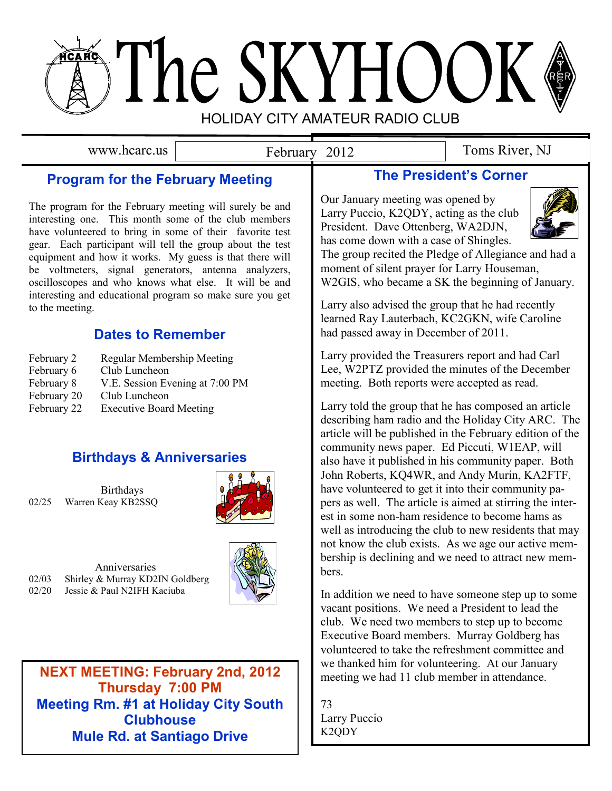# The SKYHOOK HOLIDAY CITY AMATEUR RADIO CLUB

February 2012

www.hcarc.us February 2012 Toms River, NJ

# **Program for the February Meeting**

The program for the February meeting will surely be and interesting one. This month some of the club members have volunteered to bring in some of their favorite test gear. Each participant will tell the group about the test equipment and how it works. My guess is that there will be voltmeters, signal generators, antenna analyzers, oscilloscopes and who knows what else. It will be and interesting and educational program so make sure you get to the meeting.

# **Dates to Remember**

- February 2 Regular Membership Meeting February 6 Club Luncheon February 8 V.E. Session Evening at 7:00 PM February 20 Club Luncheon
- February 22 Executive Board Meeting

# **Birthdays & Anniversaries**

**Birthdays** 02/25 Warren Keay KB2SSQ



Anniversaries 02/03 Shirley & Murray KD2IN Goldberg 02/20 Jessie & Paul N2IFH Kaciuba



**NEXT MEETING: February 2nd, 2012 Thursday 7:00PM Thursday 7:00 PM Meeting Rm. #1 at Holiday City South Clubhouse Mule Rd. at Santiago Drive**

# **The President's Corner**

Our January meeting was opened by Larry Puccio, K2QDY, acting as the club President. Dave Ottenberg, WA2DJN, has come down with a case of Shingles.



The group recited the Pledge of Allegiance and had a moment of silent prayer for Larry Houseman, W2GIS, who became a SK the beginning of January.

Larry also advised the group that he had recently learned Ray Lauterbach, KC2GKN, wife Caroline had passed away in December of 2011.

Larry provided the Treasurers report and had Carl Lee, W2PTZ provided the minutes of the December meeting. Both reports were accepted as read.

Larry told the group that he has composed an article describing ham radio and the Holiday City ARC. The article will be published in the February edition of the community news paper. Ed Piccuti, W1EAP, will also have it published in his community paper. Both John Roberts, KQ4WR, and Andy Murin, KA2FTF, have volunteered to get it into their community papers as well. The article is aimed at stirring the interest in some non-ham residence to become hams as well as introducing the club to new residents that may not know the club exists. As we age our active membership is declining and we need to attract new members.

In addition we need to have someone step up to some vacant positions. We need a President to lead the club. We need two members to step up to become Executive Board members. Murray Goldberg has volunteered to take the refreshment committee and we thanked him for volunteering. At our January meeting we had 11 club member in attendance.

73 Larry Puccio K2QDY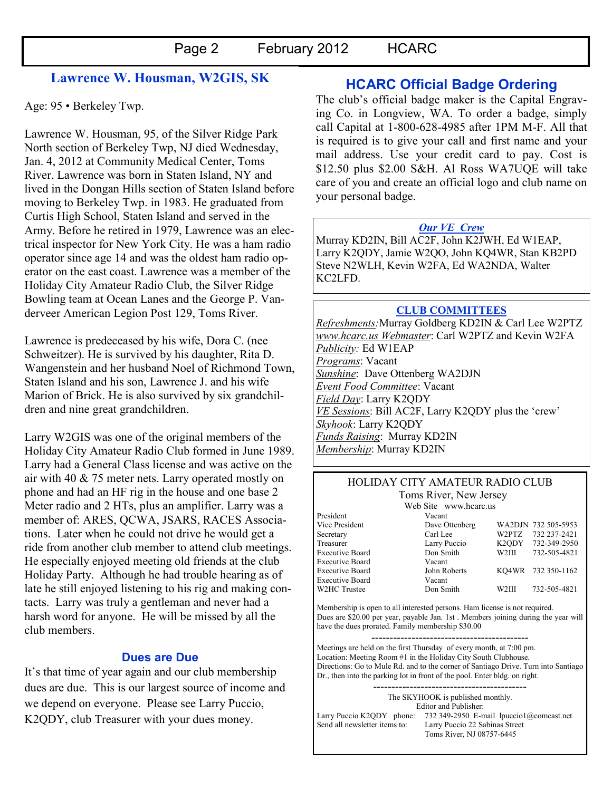## **Lawrence W. Housman, W2GIS, SK**

Age: 95 • Berkeley Twp.

Lawrence W. Housman, 95, of the Silver Ridge Park North section of Berkeley Twp, NJ died Wednesday, Jan. 4, 2012 at Community Medical Center, Toms River. Lawrence was born in Staten Island, NY and lived in the Dongan Hills section of Staten Island before moving to Berkeley Twp. in 1983. He graduated from Curtis High School, Staten Island and served in the Army. Before he retired in 1979, Lawrence was an electrical inspector for New York City. He was a ham radio operator since age 14 and was the oldest ham radio operator on the east coast. Lawrence was a member of the Holiday City Amateur Radio Club, the Silver Ridge Bowling team at Ocean Lanes and the George P. Vanderveer American Legion Post 129, Toms River.

Lawrence is predeceased by his wife, Dora C. (nee Schweitzer). He is survived by his daughter, Rita D. Wangenstein and her husband Noel of Richmond Town, Staten Island and his son, Lawrence J. and his wife Marion of Brick. He is also survived by six grandchildren and nine great grandchildren.

Larry W2GIS was one of the original members of the Holiday City Amateur Radio Club formed in June 1989. Larry had a General Class license and was active on the air with 40 & 75 meter nets. Larry operated mostly on phone and had an HF rig in the house and one base 2 Meter radio and 2 HTs, plus an amplifier. Larry was a member of: ARES, QCWA, JSARS, RACES Associations. Later when he could not drive he would get a ride from another club member to attend club meetings. He especially enjoyed meeting old friends at the club Holiday Party. Although he had trouble hearing as of late he still enjoyed listening to his rig and making contacts. Larry was truly a gentleman and never had a harsh word for anyone. He will be missed by all the club members.

#### **Dues are Due**

It's that time of year again and our club membership dues are due. This is our largest source of income and we depend on everyone. Please see Larry Puccio, K2QDY, club Treasurer with your dues money.

## **HCARC Official Badge Ordering**

The club"s official badge maker is the Capital Engraving Co. in Longview, WA. To order a badge, simply call Capital at 1-800-628-4985 after 1PM M-F. All that is required is to give your call and first name and your mail address. Use your credit card to pay. Cost is \$12.50 plus \$2.00 S&H. Al Ross WA7UQE will take care of you and create an official logo and club name on your personal badge.

#### *Our VE Crew*

Murray KD2IN, Bill AC2F, John K2JWH, Ed W1EAP, Larry K2QDY, Jamie W2QO, John KQ4WR, Stan KB2PD Steve N2WLH, Kevin W2FA, Ed WA2NDA, Walter KC2LFD.

#### **CLUB COMMITTEES**

*Refreshments:*Murray Goldberg KD2IN & Carl Lee W2PTZ *www.hcarc.us Webmaster*: Carl W2PTZ and Kevin W2FA *Publicity:* Ed W1EAP *Programs*: Vacant *Sunshine*: Dave Ottenberg WA2DJN *Event Food Committee*: Vacant *Field Day*: Larry K2QDY *VE Sessions*: Bill AC2F, Larry K2QDY plus the "crew" *Skyhook*: Larry K2QDY *Funds Raising*: Murray KD2IN *Membership*: Murray KD2IN

# HOLIDAY CITY AMATEUR RADIO CLUB

Toms River, New Jersey

|                        | Web Site www.hcarc.us |                    |                     |
|------------------------|-----------------------|--------------------|---------------------|
| President              | Vacant                |                    |                     |
| Vice President         | Dave Ottenberg        |                    | WA2DJN 732 505-5953 |
| Secretary              | Carl Lee              | W2PTZ              | 732 237-2421        |
| Treasurer              | Larry Puccio          |                    | K2ODY 732-349-2950  |
| <b>Executive Board</b> | Don Smith             | W2III              | 732-505-4821        |
| <b>Executive Board</b> | Vacant                |                    |                     |
| <b>Executive Board</b> | John Roberts          |                    | KO4WR 732 350-1162  |
| <b>Executive Board</b> | Vacant                |                    |                     |
| W2HC Trustee           | Don Smith             | W <sub>2</sub> III | 732-505-4821        |
|                        |                       |                    |                     |

Membership is open to all interested persons. Ham license is not required. Dues are \$20.00 per year, payable Jan. 1st . Members joining during the year will have the dues prorated. Family membership \$30.00

------------------------------------------- Meetings are held on the first Thursday of every month, at 7:00 pm. Location: Meeting Room #1 in the Holiday City South Clubhouse. Directions: Go to Mule Rd. and to the corner of Santiago Drive. Turn into Santiago Dr., then into the parking lot in front of the pool. Enter bldg. on right.

------------------------------------------ The SKYHOOK is published monthly. Editor and Publisher: Larry Puccio K2QDY phone: 732 349-2950 E-mail lpuccio1@comcast.net<br>Send all newsletter items to: Larry Puccio 22 Sabinas Street Larry Puccio 22 Sabinas Street Toms River, NJ 08757-6445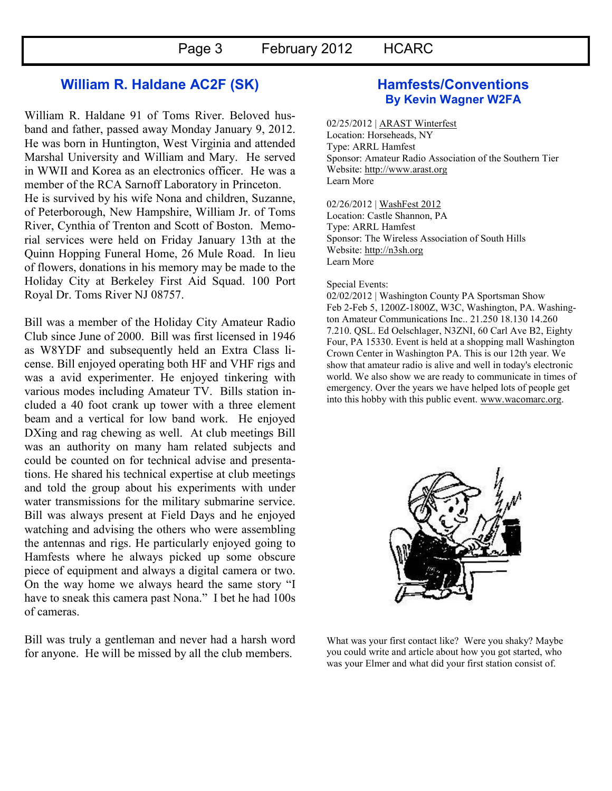## **William R. Haldane AC2F (SK)**

William R. Haldane 91 of Toms River. Beloved husband and father, passed away Monday January 9, 2012. He was born in Huntington, West Virginia and attended Marshal University and William and Mary. He served in WWII and Korea as an electronics officer. He was a member of the RCA Sarnoff Laboratory in Princeton. He is survived by his wife Nona and children, Suzanne, of Peterborough, New Hampshire, William Jr. of Toms River, Cynthia of Trenton and Scott of Boston. Memorial services were held on Friday January 13th at the Quinn Hopping Funeral Home, 26 Mule Road. In lieu of flowers, donations in his memory may be made to the Holiday City at Berkeley First Aid Squad. 100 Port Royal Dr. Toms River NJ 08757.

Bill was a member of the Holiday City Amateur Radio Club since June of 2000. Bill was first licensed in 1946 as W8YDF and subsequently held an Extra Class license. Bill enjoyed operating both HF and VHF rigs and was a avid experimenter. He enjoyed tinkering with various modes including Amateur TV. Bills station included a 40 foot crank up tower with a three element beam and a vertical for low band work. He enjoyed DXing and rag chewing as well. At club meetings Bill was an authority on many ham related subjects and could be counted on for technical advise and presentations. He shared his technical expertise at club meetings and told the group about his experiments with under water transmissions for the military submarine service. Bill was always present at Field Days and he enjoyed watching and advising the others who were assembling the antennas and rigs. He particularly enjoyed going to Hamfests where he always picked up some obscure piece of equipment and always a digital camera or two. On the way home we always heard the same story "I have to sneak this camera past Nona." I bet he had 100s of cameras.

Bill was truly a gentleman and never had a harsh word for anyone. He will be missed by all the club members.

## **Hamfests/Conventions By Kevin Wagner W2FA**

02/25/2012 | [ARAST Winterfest](http://www.arrl.org/hamfests/arast-winterfest) Location: Horseheads, NY Type: ARRL Hamfest Sponsor: Amateur Radio Association of the Southern Tier Website: [http://www.arast.org](http://www.arast.org/) [Learn More](http://www.arrl.org/hamfests/arast-winterfest)

02/26/2012 | [WashFest 2012](http://www.arrl.org/hamfests/washfest-2012) Location: Castle Shannon, PA Type: ARRL Hamfest Sponsor: The Wireless Association of South Hills Website: [http://n3sh.org](http://n3sh.org/) [Learn More](http://www.arrl.org/hamfests/washfest-2012)

#### Special Events:

02/02/2012 | Washington County PA Sportsman Show Feb 2-Feb 5, 1200Z-1800Z, W3C, Washington, PA. Washington Amateur Communications Inc.. 21.250 18.130 14.260 7.210. QSL. Ed Oelschlager, N3ZNI, 60 Carl Ave B2, Eighty Four, PA 15330. Event is held at a shopping mall Washington Crown Center in Washington PA. This is our 12th year. We show that amateur radio is alive and well in today's electronic world. We also show we are ready to communicate in times of emergency. Over the years we have helped lots of people get into this hobby with this public event. [www.wacomarc.org.](http://www.wacomarc.org/)



What was your first contact like? Were you shaky? Maybe you could write and article about how you got started, who was your Elmer and what did your first station consist of.